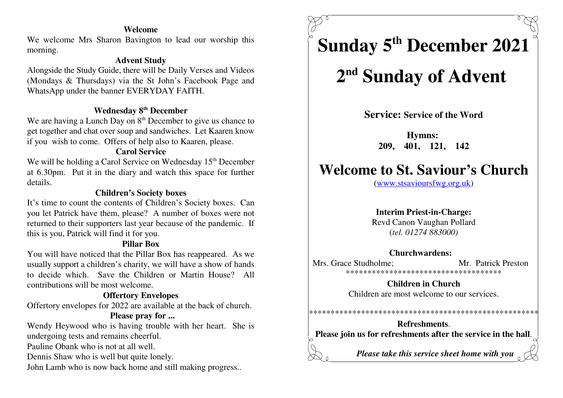### **Welcome**

 We welcome Mrs Sharon Bavington to lead our worship thismorning.

### **Advent Study**

 Alongside the Study Guide, there will be Daily Verses and Videos (Mondays & Thursdays) via the St John's Facebook Page andWhatsApp under the banner EVERYDAY FAITH.

### **Wednesday 8<sup>th</sup> December**

We are having a Lunch Day on  $8<sup>th</sup>$  December to give us chance to get together and chat over soup and sandwiches. Let Kaaren knowif you wish to come. Offers of help also to Kaaren, please.

### **Carol Service**

We will be holding a Carol Service on Wednesday  $15<sup>th</sup>$  December at 6.30pm. Put it in the diary and watch this space for furtherdetails.

### **Children's Society boxes**

 It's time to count the contents of Children's Society boxes. Can you let Patrick have them, please? A number of boxes were notreturned to their supporters last year because of the pandemic. Ifthis is you, Patrick will find it for you.

### **Pillar Box**

 You will have noticed that the Pillar Box has reappeared. As we usually support a children's charity, we will have a show of hands to decide which. Save the Children or Martin House? Allcontributions will be most welcome.

### **Offertory Envelopes**

Offertory envelopes for 2022 are available at the back of church.

### **Please pray for ...**

Wendy Heywood who is having trouble with her heart. She isundergoing tests and remains cheerful.

Pauline Obank who is not at all well.

Dennis Shaw who is well but quite lonely.

John Lamb who is now back home and still making progress..

# **Sunday 5 December 2021 th**

## 2<sup>nd</sup> Sunday of Advent

**Service: Service of the Word**

**Hymns: 209, 401, 121, 142**

### **Welcome to St. Saviour's Church**

(www.stsavioursfwg.org.uk)

### **Interim Priest-in-Charge:**

 Revd Canon Vaughan Pollard(*tel. 01274 883000)*

### **Churchwardens:**

Mrs. Grace Studholme: Mr. Patrick Preston \*\*\*\*\*\*\*\*\*\*\*\*\*\*\*\*\*\*\*\*\*\*\*\*\*\*\*\*\*\*\*\*\*\*\*\*

> **Children in Church**Children are most welcome to our services.

### \*\*\*\*\*\*\*\*\*\*\*\*\*\*\*\*\*\*\*\*\*\*\*\*\*\*\*\*\*\*\*\*\*\*\*\*\*\*\*\*\*\*\*\*\*\*\*\*\*\*\*\*\*

**Refreshments**.**Please join us for refreshments after the service in the hall**.

*Please take this service sheet home with you*